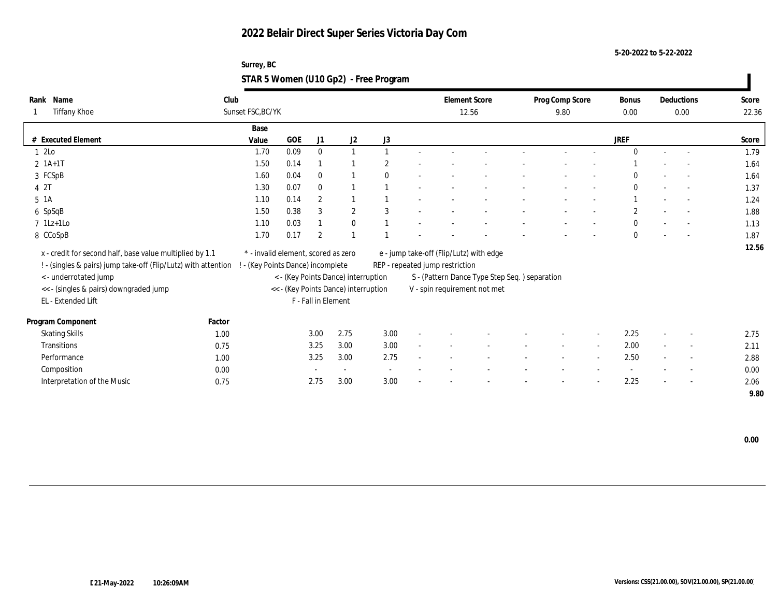**5-20-2022 to 5-22-2022**

### **Surrey, BC STAR 5 Women (U10 Gp2) - Free Program**

| Rank Name                                                                                        | Club   |                                     |            |                     |                                      |              |        |                                 | <b>Element Score</b>                          | Prog Comp Score |                          | <b>Bonus</b> |        | Deductions               | Score |
|--------------------------------------------------------------------------------------------------|--------|-------------------------------------|------------|---------------------|--------------------------------------|--------------|--------|---------------------------------|-----------------------------------------------|-----------------|--------------------------|--------------|--------|--------------------------|-------|
| Tiffany Khoe                                                                                     |        | Sunset FSC, BC/YK                   |            |                     |                                      |              |        |                                 | 12.56                                         | 9.80            |                          | 0.00         |        | 0.00                     | 22.36 |
|                                                                                                  |        | Base                                |            |                     |                                      |              |        |                                 |                                               |                 |                          |              |        |                          |       |
| # Executed Element                                                                               |        | Value                               | <b>GOE</b> | J1                  | J2                                   | J3           |        |                                 |                                               |                 |                          | <b>JREF</b>  |        |                          | Score |
| 1 2Lo                                                                                            |        | 1.70                                | 0.09       | $\bf{0}$            | $\overline{1}$                       |              |        |                                 |                                               |                 |                          | $\Omega$     | $\sim$ | $\overline{a}$           | 1.79  |
| $2 \; 1A+1T$                                                                                     |        | 1.50                                | 0.14       |                     |                                      |              |        |                                 |                                               |                 |                          |              |        |                          | 1.64  |
| 3 FCSpB                                                                                          |        | 1.60                                | 0.04       | $\mathbf{0}$        |                                      | $\mathbf{0}$ |        |                                 |                                               |                 |                          | $\bf{0}$     |        |                          | 1.64  |
| 4 2T                                                                                             |        | 1.30                                | 0.07       | $\mathbf{0}$        |                                      |              |        |                                 |                                               |                 |                          | $\bf{0}$     |        | $\sim$                   | 1.37  |
| $5 \text{ A}$                                                                                    |        | 1.10                                | 0.14       | $\mathbf{2}$        | $\overline{1}$                       |              |        |                                 |                                               |                 |                          |              |        | $\overline{\phantom{a}}$ | 1.24  |
| 6 SpSqB                                                                                          |        | 1.50                                | 0.38       | 3                   | $\mathbf{2}$                         | 3            |        |                                 |                                               |                 |                          | $\mathbf{2}$ |        |                          | 1.88  |
| $7$ 1Lz+1Lo                                                                                      |        | 1.10                                | 0.03       |                     | $\bf{0}$                             |              |        |                                 |                                               |                 |                          | $\mathbf{0}$ |        |                          | 1.13  |
| 8 CCoSpB                                                                                         |        | 1.70                                | 0.17       | $\overline{2}$      | $\overline{1}$                       |              |        |                                 |                                               |                 |                          | $\mathbf{0}$ |        |                          | 1.87  |
| x - credit for second half, base value multiplied by 1.1                                         |        | * - invalid element, scored as zero |            |                     |                                      |              |        |                                 | e - jump take-off (Flip/Lutz) with edge       |                 |                          |              |        |                          | 12.56 |
| ! - (singles & pairs) jump take-off (Flip/Lutz) with attention ! - (Key Points Dance) incomplete |        |                                     |            |                     |                                      |              |        | REP - repeated jump restriction |                                               |                 |                          |              |        |                          |       |
| <- underrotated jump                                                                             |        |                                     |            |                     | < - (Key Points Dance) interruption  |              |        |                                 | S - (Pattern Dance Type Step Seq.) separation |                 |                          |              |        |                          |       |
| << - (singles & pairs) downgraded jump                                                           |        |                                     |            |                     | << - (Key Points Dance) interruption |              |        |                                 | V - spin requirement not met                  |                 |                          |              |        |                          |       |
| EL - Extended Lift                                                                               |        |                                     |            | F - Fall in Element |                                      |              |        |                                 |                                               |                 |                          |              |        |                          |       |
|                                                                                                  |        |                                     |            |                     |                                      |              |        |                                 |                                               |                 |                          |              |        |                          |       |
| Program Component                                                                                | Factor |                                     |            |                     |                                      |              |        |                                 |                                               |                 |                          |              |        |                          |       |
| <b>Skating Skills</b>                                                                            | 1.00   |                                     |            | 3.00                | 2.75                                 | 3.00         |        |                                 |                                               |                 |                          | 2.25         |        | $\sim$                   | 2.75  |
| <b>Transitions</b>                                                                               | 0.75   |                                     |            | 3.25                | 3.00                                 | 3.00         | $\sim$ |                                 |                                               | $\sim$          | $\sim$                   | 2.00         | $\sim$ | $\overline{\phantom{a}}$ | 2.11  |
| Performance                                                                                      | 1.00   |                                     |            | 3.25                | 3.00                                 | 2.75         |        |                                 |                                               |                 | $\overline{\phantom{a}}$ | 2.50         |        | $\sim$                   | 2.88  |
| Composition                                                                                      | 0.00   |                                     |            |                     | $\sim$                               | $\sim$       |        |                                 |                                               |                 |                          |              |        | $\sim$                   | 0.00  |
| Interpretation of the Music                                                                      | 0.75   |                                     |            | 2.75                | 3.00                                 | 3.00         |        |                                 |                                               |                 |                          | 2.25         |        | $\overline{\phantom{a}}$ | 2.06  |
|                                                                                                  |        |                                     |            |                     |                                      |              |        |                                 |                                               |                 |                          |              |        |                          | 9.80  |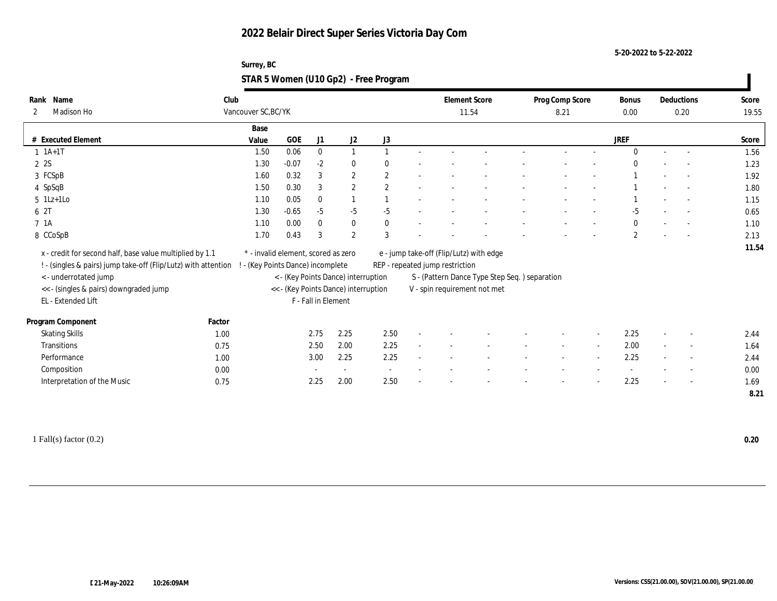**5-20-2022 to 5-22-2022**

### **Surrey, BC STAR 5 Women (U10 Gp2) - Free Program**

| Rank Name                                                      | Club   |                     |                                     |                     |                                      |                |                                         | <b>Element Score</b>                           | Prog Comp Score |        | Bonus          | Deductions               | Score |
|----------------------------------------------------------------|--------|---------------------|-------------------------------------|---------------------|--------------------------------------|----------------|-----------------------------------------|------------------------------------------------|-----------------|--------|----------------|--------------------------|-------|
| Madison Ho<br>2                                                |        | Vancouver SC, BC/YK |                                     |                     |                                      |                |                                         | 11.54                                          | 8.21            |        | 0.00           | 0.20                     | 19.55 |
|                                                                |        | Base                |                                     |                     |                                      |                |                                         |                                                |                 |        |                |                          |       |
| # Executed Element                                             |        | Value               | <b>GOE</b>                          | J1                  | $\mathrm{J}2$                        | J3             |                                         |                                                |                 |        | <b>JREF</b>    |                          | Score |
| $1 \t1A+1T$                                                    |        | 1.50                | 0.06                                | $\mathbf{0}$        | $\mathbf{1}$                         |                |                                         |                                                |                 |        | $\theta$       |                          | 1.56  |
| 2 2S                                                           |        | 1.30                | $-0.07$                             | $-2$                | $\bf{0}$                             | $\theta$       |                                         |                                                |                 |        | $\Omega$       |                          | 1.23  |
| 3 FCSpB                                                        |        | 1.60                | 0.32                                | 3                   | $\boldsymbol{2}$                     | 2              |                                         |                                                |                 |        |                |                          | 1.92  |
| 4 SpSqB                                                        |        | 1.50                | 0.30                                | 3                   | $\boldsymbol{2}$                     | $\overline{2}$ |                                         |                                                |                 |        |                | $\overline{a}$           | 1.80  |
| $5$ 1Lz+1Lo                                                    |        | 1.10                | 0.05                                | $\bf{0}$            | $\mathbf{1}$                         |                |                                         |                                                |                 |        |                | $\sim$                   | 1.15  |
| 6 2T                                                           |        | 1.30                | $-0.65$                             | $-5$                | $-5$                                 | $-5$           |                                         |                                                |                 |        | $-5$           |                          | 0.65  |
| 7 1A                                                           |        | 1.10                | 0.00                                | $\mathbf{0}$        | $\bf{0}$                             | $\mathbf{0}$   |                                         |                                                |                 |        | $\mathbf{0}$   | $\overline{\phantom{a}}$ | 1.10  |
| 8 CCoSpB                                                       |        | 1.70                | 0.43                                | 3                   | $\mathbf{2}$                         | 3              |                                         |                                                |                 |        | $\overline{2}$ |                          | 2.13  |
| x - credit for second half, base value multiplied by 1.1       |        |                     | * - invalid element, scored as zero |                     |                                      |                | e - jump take-off (Flip/Lutz) with edge |                                                |                 |        |                |                          | 11.54 |
| ! - (singles & pairs) jump take-off (Flip/Lutz) with attention |        |                     | ! - (Key Points Dance) incomplete   |                     |                                      |                | REP - repeated jump restriction         |                                                |                 |        |                |                          |       |
| <- underrotated jump                                           |        |                     |                                     |                     | < - (Key Points Dance) interruption  |                |                                         | S - (Pattern Dance Type Step Seq. ) separation |                 |        |                |                          |       |
| << - (singles & pairs) downgraded jump                         |        |                     |                                     |                     | << - (Key Points Dance) interruption |                | V - spin requirement not met            |                                                |                 |        |                |                          |       |
| EL - Extended Lift                                             |        |                     |                                     | F - Fall in Element |                                      |                |                                         |                                                |                 |        |                |                          |       |
| Program Component                                              | Factor |                     |                                     |                     |                                      |                |                                         |                                                |                 |        |                |                          |       |
| <b>Skating Skills</b>                                          | 1.00   |                     |                                     | 2.75                | 2.25                                 | 2.50           |                                         |                                                |                 |        | 2.25           | $\overline{\phantom{a}}$ | 2.44  |
| Transitions                                                    | 0.75   |                     |                                     | 2.50                | 2.00                                 | 2.25           |                                         |                                                |                 | $\sim$ | 2.00           | $\overline{\phantom{a}}$ | 1.64  |
| Performance                                                    | 1.00   |                     |                                     | 3.00                | 2.25                                 | 2.25           |                                         |                                                |                 |        | 2.25           | $\overline{\phantom{a}}$ | 2.44  |
| Composition                                                    | 0.00   |                     |                                     |                     | $\sim$                               | $\sim$         |                                         |                                                |                 |        |                | $\overline{\phantom{a}}$ | 0.00  |
| Interpretation of the Music                                    | 0.75   |                     |                                     | 2.25                | 2.00                                 | 2.50           |                                         |                                                |                 |        | 2.25           | $\overline{\phantom{a}}$ | 1.69  |
|                                                                |        |                     |                                     |                     |                                      |                |                                         |                                                |                 |        |                |                          |       |
|                                                                |        |                     |                                     |                     |                                      |                |                                         |                                                |                 |        |                |                          | 8.21  |

1 Fall(s) factor (0.2) **0.20**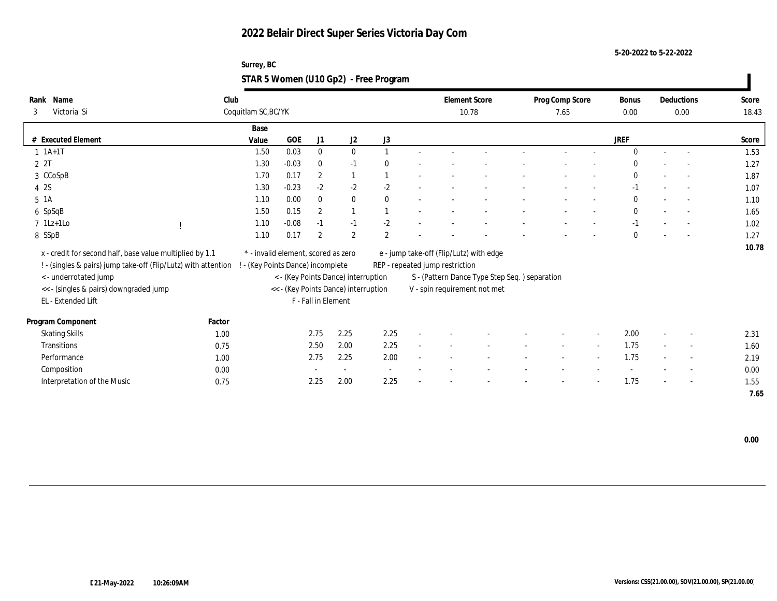**5-20-2022 to 5-22-2022**

### **Surrey, BC STAR 5 Women (U10 Gp2) - Free Program**

| Name<br>Rank                                                    | Club   |                                     |                               |                     |                                                                             |                |        |                                 | <b>Element Score</b>                                                           | Prog Comp Score |                          | <b>Bonus</b> |        | Deductions               | Score |
|-----------------------------------------------------------------|--------|-------------------------------------|-------------------------------|---------------------|-----------------------------------------------------------------------------|----------------|--------|---------------------------------|--------------------------------------------------------------------------------|-----------------|--------------------------|--------------|--------|--------------------------|-------|
| 3<br>Victoria Si                                                |        | Coquitlam SC, BC/YK                 |                               |                     |                                                                             |                |        |                                 | 10.78                                                                          | 7.65            |                          | 0.00         |        | 0.00                     | 18.43 |
|                                                                 |        | Base                                |                               |                     |                                                                             |                |        |                                 |                                                                                |                 |                          |              |        |                          |       |
| # Executed Element                                              |        | Value                               | <b>GOE</b>                    | J1                  | J2                                                                          | J3             |        |                                 |                                                                                |                 |                          | <b>JREF</b>  |        |                          | Score |
| $1 \t1A+1T$                                                     |        | 1.50                                | 0.03                          | $\bf{0}$            | $\bf{0}$                                                                    |                |        |                                 |                                                                                |                 |                          | $\Omega$     | $\sim$ | $\overline{a}$           | 1.53  |
| 2 2T                                                            |        | 1.30                                | $-0.03$                       | $\bf{0}$            | $-1$                                                                        |                |        |                                 |                                                                                |                 |                          | $\Omega$     |        | $\sim$                   | 1.27  |
| 3 CCoSpB                                                        |        | 1.70                                | 0.17                          | $\mathbf{2}$        | $\mathbf{1}$                                                                |                |        |                                 |                                                                                |                 |                          | $\mathbf{0}$ |        | $\overline{\phantom{a}}$ | 1.87  |
| 4 2S                                                            |        | 1.30                                | $-0.23$                       | $-2$                | $-2$                                                                        | $-2$           |        |                                 |                                                                                |                 |                          | $-1$         |        | $\sim$                   | 1.07  |
| $5\;1A$                                                         |        | 1.10                                | 0.00                          | $\mathbf{0}$        | $\mathbf{0}$                                                                | $\theta$       |        |                                 |                                                                                |                 |                          | $\theta$     |        | $\sim$                   | 1.10  |
| 6 SpSqB                                                         |        | 1.50                                | 0.15                          | $\boldsymbol{2}$    | $\mathbf{1}$                                                                |                |        |                                 |                                                                                |                 |                          | $\mathbf{0}$ |        |                          | 1.65  |
| $7 \text{ } 1\text{Lz+1Lo}$                                     |        | 1.10                                | $-0.08$                       | $-1$                | $-1$                                                                        | $-2$           |        |                                 |                                                                                |                 |                          | $-1$         |        |                          | 1.02  |
| 8 SSpB                                                          |        | 1.10                                | 0.17                          | $\mathbf{2}$        | $\overline{2}$                                                              | $\overline{2}$ |        |                                 |                                                                                |                 |                          | $\mathbf{0}$ |        | $\sim$                   | 1.27  |
| x - credit for second half, base value multiplied by 1.1        |        | * - invalid element, scored as zero |                               |                     |                                                                             |                |        |                                 | e - jump take-off (Flip/Lutz) with edge                                        |                 |                          |              |        |                          | 10.78 |
| ! - (singles & pairs) jump take-off (Flip/Lutz) with attention  |        |                                     | (Key Points Dance) incomplete |                     |                                                                             |                |        | REP - repeated jump restriction |                                                                                |                 |                          |              |        |                          |       |
|                                                                 |        |                                     |                               |                     |                                                                             |                |        |                                 |                                                                                |                 |                          |              |        |                          |       |
| < - underrotated jump<br><< - (singles & pairs) downgraded jump |        |                                     |                               |                     | < - (Key Points Dance) interruption<br><< - (Key Points Dance) interruption |                |        |                                 | S - (Pattern Dance Type Step Seq. ) separation<br>V - spin requirement not met |                 |                          |              |        |                          |       |
| EL - Extended Lift                                              |        |                                     |                               | F - Fall in Element |                                                                             |                |        |                                 |                                                                                |                 |                          |              |        |                          |       |
|                                                                 |        |                                     |                               |                     |                                                                             |                |        |                                 |                                                                                |                 |                          |              |        |                          |       |
| Program Component                                               | Factor |                                     |                               |                     |                                                                             |                |        |                                 |                                                                                |                 |                          |              |        |                          |       |
| <b>Skating Skills</b>                                           | 1.00   |                                     |                               | 2.75                | 2.25                                                                        | 2.25           | $\sim$ |                                 |                                                                                |                 |                          | 2.00         | $\sim$ | $\overline{\phantom{a}}$ | 2.31  |
| Transitions                                                     | 0.75   |                                     |                               | 2.50                | 2.00                                                                        | 2.25           | $\sim$ |                                 |                                                                                | $\sim$          | $\sim$                   | 1.75         | $\sim$ | $\overline{\phantom{a}}$ | 1.60  |
| Performance                                                     | 1.00   |                                     |                               | 2.75                | 2.25                                                                        | 2.00           |        |                                 |                                                                                |                 | $\overline{\phantom{a}}$ | 1.75         |        | $\overline{\phantom{a}}$ | 2.19  |
| Composition                                                     | 0.00   |                                     |                               |                     | $\sim$                                                                      | $\sim$         |        |                                 |                                                                                |                 |                          |              |        | $\overline{\phantom{a}}$ | 0.00  |
| Interpretation of the Music                                     | 0.75   |                                     |                               | 2.25                | 2.00                                                                        | 2.25           |        |                                 |                                                                                |                 |                          | 1.75         |        | $\overline{\phantom{a}}$ | 1.55  |
|                                                                 |        |                                     |                               |                     |                                                                             |                |        |                                 |                                                                                |                 |                          |              |        |                          | 7.65  |

 **0.00**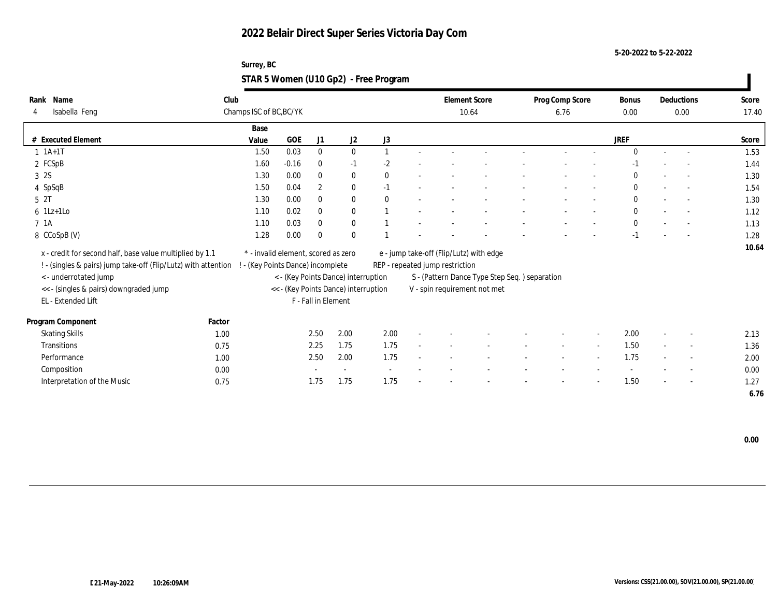**5-20-2022 to 5-22-2022**

### **Surrey, BC STAR 5 Women (U10 Gp2) - Free Program**

| Rank Name                                                                                        | Club   |                                     |            |                     |                                      |              |                                 | <b>Element Score</b>                          | Prog Comp Score |                          | <b>Bonus</b> |        | Deductions               | Score |
|--------------------------------------------------------------------------------------------------|--------|-------------------------------------|------------|---------------------|--------------------------------------|--------------|---------------------------------|-----------------------------------------------|-----------------|--------------------------|--------------|--------|--------------------------|-------|
| Isabella Feng<br>4                                                                               |        | Champs ISC of BC, BC/YK             |            |                     |                                      |              |                                 | 10.64                                         | 6.76            |                          | $0.00\,$     |        | 0.00                     | 17.40 |
|                                                                                                  |        | Base                                |            |                     |                                      |              |                                 |                                               |                 |                          |              |        |                          |       |
| <b>Executed Element</b><br>#                                                                     |        | Value                               | <b>GOE</b> | J1                  | J2                                   | J3           |                                 |                                               |                 |                          | <b>JREF</b>  |        |                          | Score |
| $1 \t1A+1T$                                                                                      |        | 1.50                                | 0.03       | $\bf{0}$            | $\mathbf{0}$                         | $\mathbf{1}$ |                                 |                                               |                 |                          | $\Omega$     | $\sim$ | $\overline{\phantom{a}}$ | 1.53  |
| 2 FCSpB                                                                                          |        | 1.60                                | $-0.16$    | $\bf{0}$            | $-1$                                 | $-2$         |                                 |                                               |                 |                          | $-1$         |        |                          | 1.44  |
| 3 2S                                                                                             |        | 1.30                                | 0.00       | $\mathbf{0}$        | $\bf{0}$                             | $\mathbf{0}$ |                                 |                                               |                 |                          | $\bf{0}$     |        | $\sim$                   | 1.30  |
| 4 SpSqB                                                                                          |        | 1.50                                | 0.04       | $\boldsymbol{2}$    | $\bf{0}$                             | $-1$         |                                 |                                               |                 |                          | $\bf{0}$     |        | $\sim$                   | 1.54  |
| 5 <sup>2T</sup>                                                                                  |        | 1.30                                | 0.00       | $\mathbf{0}$        | $\bf{0}$                             | $\mathbf{0}$ |                                 |                                               |                 |                          | $\bf{0}$     |        | $\sim$                   | 1.30  |
| $6$ 1Lz+1Lo                                                                                      |        | 1.10                                | 0.02       | $\bf{0}$            | $\bf{0}$                             |              |                                 |                                               |                 |                          | $\bf{0}$     |        | $\sim$                   | 1.12  |
| 7 1A                                                                                             |        | 1.10                                | 0.03       | $\mathbf{0}$        | $\bf{0}$                             |              |                                 |                                               |                 |                          | $\mathbf{0}$ |        | $\overline{\phantom{a}}$ | 1.13  |
| 8 CCoSpB (V)                                                                                     |        | 1.28                                | 0.00       | $\mathbf{0}$        | $\mathbf{0}$                         |              |                                 |                                               |                 |                          | $-1$         |        |                          | 1.28  |
| x - credit for second half, base value multiplied by 1.1                                         |        | * - invalid element, scored as zero |            |                     |                                      |              |                                 | e - jump take-off (Flip/Lutz) with edge       |                 |                          |              |        |                          | 10.64 |
| ! - (singles & pairs) jump take-off (Flip/Lutz) with attention ! - (Key Points Dance) incomplete |        |                                     |            |                     |                                      |              | REP - repeated jump restriction |                                               |                 |                          |              |        |                          |       |
| <- underrotated jump                                                                             |        |                                     |            |                     | < - (Key Points Dance) interruption  |              |                                 | S - (Pattern Dance Type Step Seq.) separation |                 |                          |              |        |                          |       |
| << - (singles & pairs) downgraded jump                                                           |        |                                     |            |                     | << - (Key Points Dance) interruption |              |                                 | V - spin requirement not met                  |                 |                          |              |        |                          |       |
| EL - Extended Lift                                                                               |        |                                     |            | F - Fall in Element |                                      |              |                                 |                                               |                 |                          |              |        |                          |       |
| Program Component                                                                                | Factor |                                     |            |                     |                                      |              |                                 |                                               |                 |                          |              |        |                          |       |
| <b>Skating Skills</b>                                                                            | 1.00   |                                     |            | 2.50                | 2.00                                 | 2.00         |                                 |                                               |                 | $\overline{\phantom{a}}$ | 2.00         |        | $\overline{\phantom{a}}$ | 2.13  |
| <b>Transitions</b>                                                                               | 0.75   |                                     |            | 2.25                | 1.75                                 | 1.75         |                                 |                                               | $\sim$          | $\sim$                   | 1.50         | $\sim$ | $\overline{\phantom{a}}$ | 1.36  |
| Performance                                                                                      | 1.00   |                                     |            | 2.50                | 2.00                                 | 1.75         |                                 |                                               |                 | $\overline{\phantom{a}}$ | 1.75         |        | $\overline{\phantom{a}}$ | 2.00  |
| Composition                                                                                      | 0.00   |                                     |            |                     |                                      |              |                                 |                                               |                 |                          |              |        | $\overline{\phantom{a}}$ | 0.00  |
| Interpretation of the Music                                                                      | 0.75   |                                     |            | 1.75                | 1.75                                 | 1.75         |                                 |                                               |                 |                          | 1.50         |        | $\overline{\phantom{a}}$ | 1.27  |
|                                                                                                  |        |                                     |            |                     |                                      |              |                                 |                                               |                 |                          |              |        |                          | 6.76  |

 **0.00**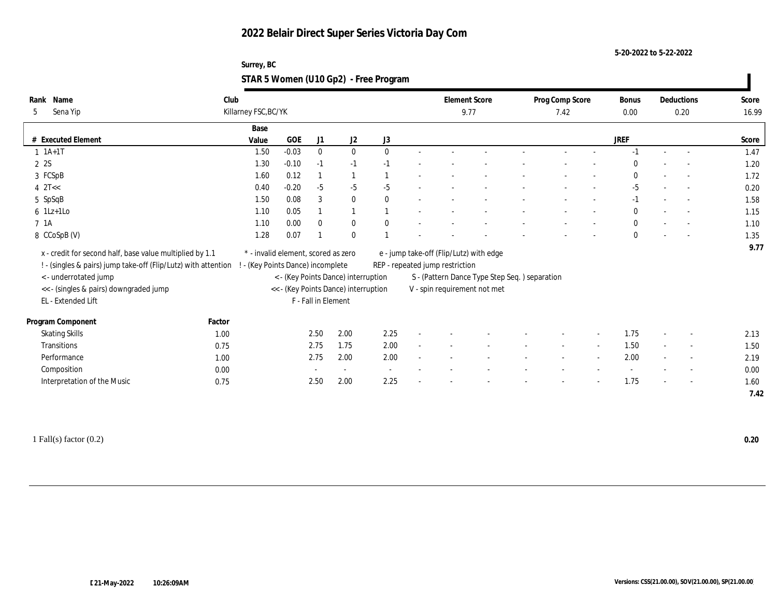**5-20-2022 to 5-22-2022**

### **Surrey, BC STAR 5 Women (U10 Gp2) - Free Program**

| Name<br>Rank                                                                                     | Club                 |                                     |                     |                                      |                          |                                 | <b>Element Score</b>                          | Prog Comp Score |                          | <b>Bonus</b> | Deductions               | Score |
|--------------------------------------------------------------------------------------------------|----------------------|-------------------------------------|---------------------|--------------------------------------|--------------------------|---------------------------------|-----------------------------------------------|-----------------|--------------------------|--------------|--------------------------|-------|
| Sena Yip<br>5                                                                                    | Killarney FSC, BC/YK |                                     |                     |                                      |                          |                                 | 9.77                                          | 7.42            |                          | 0.00         | 0.20                     | 16.99 |
|                                                                                                  |                      | Base                                |                     |                                      |                          |                                 |                                               |                 |                          |              |                          |       |
| # Executed Element                                                                               | Value                | <b>GOE</b>                          | J1                  | $\mathrm{J}2$                        | $\rm J3$                 |                                 |                                               |                 |                          | <b>JREF</b>  |                          | Score |
| $1 \t1A+1T$                                                                                      |                      | $-0.03$<br>1.50                     | $\bf{0}$            | $\bf{0}$                             | $\mathbf{0}$             |                                 |                                               |                 |                          | $-1$         | $\sim$                   | 1.47  |
| 2 2S                                                                                             |                      | 1.30<br>$-0.10$                     | $-1$                | $-1$                                 | $-1$                     |                                 |                                               |                 |                          | $\Omega$     |                          | 1.20  |
| 3 FCSpB                                                                                          |                      | 1.60<br>0.12                        |                     | $\mathbf{1}$                         |                          |                                 |                                               |                 |                          | $\bf{0}$     |                          | 1.72  |
| $4$ $2$ T<<                                                                                      |                      | $-0.20$<br>0.40                     | $-5$                | $-5$                                 | $-5$                     |                                 |                                               |                 |                          | $-5$         | $\overline{a}$           | 0.20  |
| 5 SpSqB                                                                                          |                      | 0.08<br>1.50                        | 3                   | $\bf{0}$                             | $\theta$                 |                                 |                                               |                 |                          | $-1$         | $\sim$                   | 1.58  |
| $6$ 1Lz+1Lo                                                                                      |                      | 0.05<br>1.10                        |                     | $\mathbf{1}$                         |                          |                                 |                                               |                 |                          | $\mathbf{0}$ | $\sim$                   | 1.15  |
| 7 1A                                                                                             |                      | 0.00<br>1.10                        | $\theta$            | $\bf{0}$                             | $\mathbf{0}$             |                                 |                                               |                 |                          | $\mathbf{0}$ |                          | 1.10  |
| 8 CCoSpB (V)                                                                                     |                      | 1.28<br>0.07                        |                     | $\bf{0}$                             |                          |                                 |                                               |                 |                          | $\mathbf{0}$ |                          | 1.35  |
| x - credit for second half, base value multiplied by 1.1                                         |                      | * - invalid element, scored as zero |                     |                                      |                          |                                 | e - jump take-off (Flip/Lutz) with edge       |                 |                          |              |                          | 9.77  |
| ! - (singles & pairs) jump take-off (Flip/Lutz) with attention ! - (Key Points Dance) incomplete |                      |                                     |                     |                                      |                          | REP - repeated jump restriction |                                               |                 |                          |              |                          |       |
| <- underrotated jump                                                                             |                      |                                     |                     | < - (Key Points Dance) interruption  |                          |                                 | S - (Pattern Dance Type Step Seq.) separation |                 |                          |              |                          |       |
| << - (singles & pairs) downgraded jump                                                           |                      |                                     |                     | << - (Key Points Dance) interruption |                          |                                 | V - spin requirement not met                  |                 |                          |              |                          |       |
| EL - Extended Lift                                                                               |                      |                                     | F - Fall in Element |                                      |                          |                                 |                                               |                 |                          |              |                          |       |
|                                                                                                  |                      |                                     |                     |                                      |                          |                                 |                                               |                 |                          |              |                          |       |
| Program Component                                                                                | Factor               |                                     |                     |                                      |                          |                                 |                                               |                 |                          |              |                          |       |
| <b>Skating Skills</b>                                                                            | 1.00                 |                                     | 2.50                | 2.00                                 | 2.25                     |                                 |                                               |                 | $\overline{\phantom{a}}$ | 1.75         | $\overline{\phantom{a}}$ | 2.13  |
| <b>Transitions</b>                                                                               | 0.75                 |                                     | 2.75                | 1.75                                 | 2.00                     |                                 |                                               |                 | $\sim$                   | 1.50         | $\overline{\phantom{a}}$ | 1.50  |
| Performance                                                                                      | 1.00                 |                                     | 2.75                | 2.00                                 | 2.00                     |                                 |                                               |                 | $\overline{\phantom{a}}$ | 2.00         | $\sim$                   | 2.19  |
| Composition                                                                                      | 0.00                 |                                     |                     | $\sim$                               | $\overline{\phantom{a}}$ |                                 |                                               |                 |                          |              | $\overline{\phantom{a}}$ | 0.00  |
| Interpretation of the Music                                                                      | 0.75                 |                                     | 2.50                | 2.00                                 | 2.25                     |                                 |                                               |                 |                          | 1.75         | $\overline{\phantom{a}}$ | 1.60  |
|                                                                                                  |                      |                                     |                     |                                      |                          |                                 |                                               |                 |                          |              |                          | 7.42  |

1 Fall(s) factor (0.2) **0.20**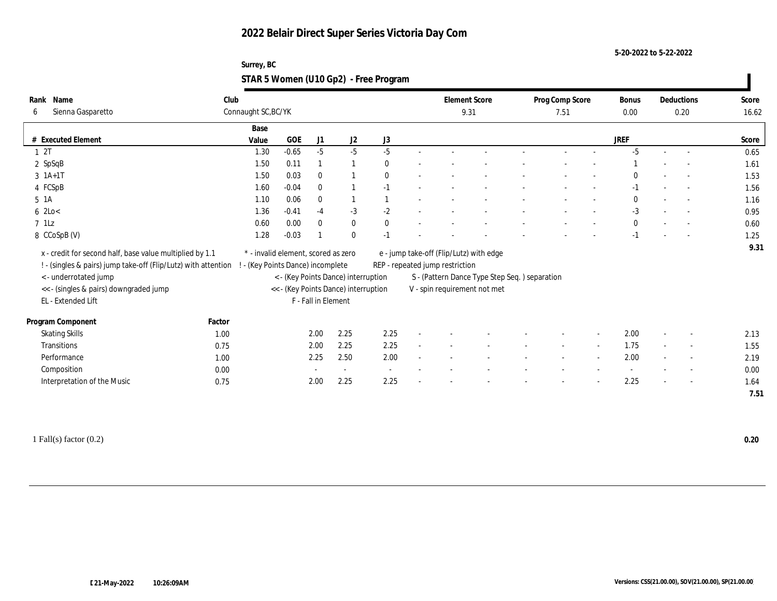**5-20-2022 to 5-22-2022**

### **Surrey, BC STAR 5 Women (U10 Gp2) - Free Program**

| Name<br>Rank                                                   | Club                |                                     |                     |                                      |                          |                                 | <b>Element Score</b>                           | Prog Comp Score |        | Bonus        |        | Deductions               | Score |
|----------------------------------------------------------------|---------------------|-------------------------------------|---------------------|--------------------------------------|--------------------------|---------------------------------|------------------------------------------------|-----------------|--------|--------------|--------|--------------------------|-------|
| Sienna Gasparetto<br>6                                         | Connaught SC, BC/YK |                                     |                     |                                      |                          |                                 | 9.31                                           | 7.51            |        | 0.00         |        | 0.20                     | 16.62 |
|                                                                | Base                |                                     |                     |                                      |                          |                                 |                                                |                 |        |              |        |                          |       |
| # Executed Element                                             | Value               | <b>GOE</b>                          | J1                  | J2                                   | J3                       |                                 |                                                |                 |        | JREF         |        |                          | Score |
| 12T                                                            | 1.30                | $-0.65$                             | $-5$                | $-5$                                 | $-5$                     |                                 |                                                |                 |        | $-5$         | $\sim$ | $\sim$                   | 0.65  |
| 2 SpSqB                                                        | 1.50                | 0.11                                |                     | -1                                   | $\theta$                 |                                 |                                                |                 |        |              |        |                          | 1.61  |
| $3 \; 1A+1T$                                                   | 1.50                | 0.03                                | $\mathbf{0}$        |                                      | $\mathbf{0}$             |                                 |                                                |                 |        | $\mathbf{0}$ |        |                          | 1.53  |
| 4 FCSpB                                                        | 1.60                | $-0.04$                             | $\mathbf{0}$        |                                      | $-1$                     |                                 |                                                |                 |        | $-1$         |        | $\sim$                   | 1.56  |
| $5 \text{1A}$                                                  | 1.10                | 0.06                                | $\bf{0}$            | $\mathbf{1}$                         |                          |                                 |                                                |                 |        | $\Omega$     |        | $\sim$                   | 1.16  |
| $6$ 2Lo $<$                                                    | 1.36                | $-0.41$                             | $-4$                | $-3$                                 | $-2$                     |                                 |                                                |                 |        | $-3$         |        |                          | 0.95  |
| $7$ 1Lz                                                        | 0.60                | 0.00                                | $\mathbf{0}$        | $\bf{0}$                             | $\mathbf{0}$             |                                 |                                                |                 |        | $\bf{0}$     |        |                          | 0.60  |
| 8 CCoSpB (V)                                                   | 1.28                | $-0.03$                             |                     | $\mathbf{0}$                         | $-1$                     |                                 |                                                |                 |        | $-1$         |        |                          | 1.25  |
| x - credit for second half, base value multiplied by 1.1       |                     | * - invalid element, scored as zero |                     |                                      |                          |                                 | e - jump take-off (Flip/Lutz) with edge        |                 |        |              |        |                          | 9.31  |
| ! - (singles & pairs) jump take-off (Flip/Lutz) with attention |                     | ! - (Key Points Dance) incomplete   |                     |                                      |                          | REP - repeated jump restriction |                                                |                 |        |              |        |                          |       |
| < - underrotated jump                                          |                     |                                     |                     | < - (Key Points Dance) interruption  |                          |                                 | S - (Pattern Dance Type Step Seq. ) separation |                 |        |              |        |                          |       |
| << - (singles & pairs) downgraded jump                         |                     |                                     |                     | << - (Key Points Dance) interruption |                          |                                 | V - spin requirement not met                   |                 |        |              |        |                          |       |
| EL - Extended Lift                                             |                     |                                     | F - Fall in Element |                                      |                          |                                 |                                                |                 |        |              |        |                          |       |
|                                                                |                     |                                     |                     |                                      |                          |                                 |                                                |                 |        |              |        |                          |       |
| Program Component                                              | Factor              |                                     |                     |                                      |                          |                                 |                                                |                 |        |              |        |                          |       |
| <b>Skating Skills</b>                                          | 1.00                |                                     | 2.00                | 2.25                                 | 2.25                     |                                 |                                                |                 | $\sim$ | 2.00         |        | $\sim$                   | 2.13  |
| Transitions                                                    | 0.75                |                                     | 2.00                | 2.25                                 | 2.25                     |                                 |                                                |                 | $\sim$ | 1.75         |        | $\overline{\phantom{a}}$ | 1.55  |
| Performance                                                    | 1.00                |                                     | 2.25                | 2.50                                 | 2.00                     |                                 |                                                |                 | $\sim$ | 2.00         |        | $\sim$                   | 2.19  |
| Composition                                                    | 0.00                |                                     |                     | $\overline{\phantom{a}}$             | $\overline{\phantom{a}}$ |                                 |                                                |                 |        |              |        | $\overline{\phantom{a}}$ | 0.00  |
| Interpretation of the Music                                    | 0.75                |                                     | 2.00                | 2.25                                 | 2.25                     |                                 |                                                |                 |        | 2.25         |        | $\overline{a}$           | 1.64  |
|                                                                |                     |                                     |                     |                                      |                          |                                 |                                                |                 |        |              |        |                          | 7.51  |

1 Fall(s) factor (0.2) **0.20**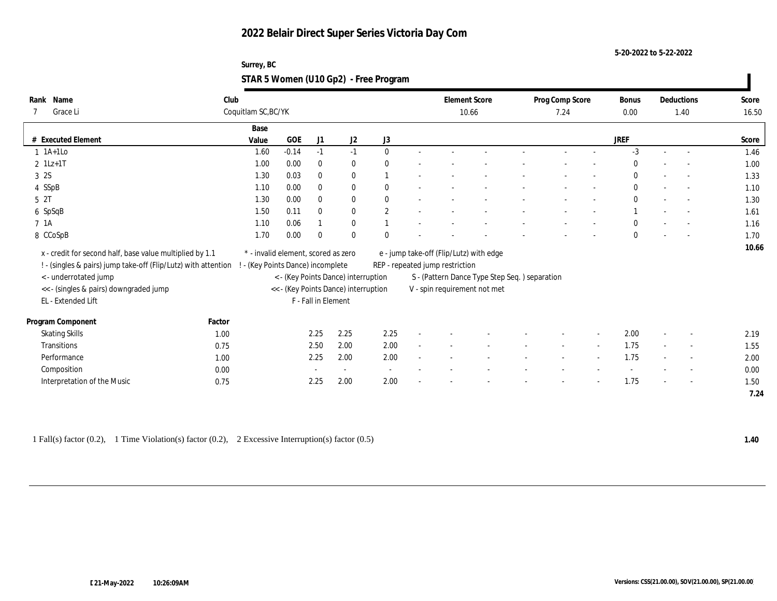**5-20-2022 to 5-22-2022**

### **Surrey, BC STAR 5 Women (U10 Gp2) - Free Program**

| Name<br>Rank                                                   | Club   |                                     |         |                     |                                      |                          | <b>Element Score</b>                    |                                               | Prog Comp Score |        | Bonus        | Deductions               | Score |
|----------------------------------------------------------------|--------|-------------------------------------|---------|---------------------|--------------------------------------|--------------------------|-----------------------------------------|-----------------------------------------------|-----------------|--------|--------------|--------------------------|-------|
| Grace Li<br>7                                                  |        | Coquitlam SC, BC/YK                 |         |                     |                                      |                          |                                         | 10.66                                         | 7.24            |        | 0.00         | 1.40                     | 16.50 |
|                                                                |        | Base                                |         |                     |                                      |                          |                                         |                                               |                 |        |              |                          |       |
| # Executed Element                                             |        | Value                               | GOE     | J1                  | J2                                   | $\rm J3$                 |                                         |                                               |                 |        | <b>JREF</b>  |                          | Score |
| $1$ 1A+1Lo                                                     |        | 1.60                                | $-0.14$ | $-1$                | $-1$                                 | $\theta$                 |                                         |                                               |                 |        | $-3$         | $\overline{\phantom{a}}$ | 1.46  |
| $2$ 1Lz+1T                                                     |        | 1.00                                | 0.00    | $\bf{0}$            | $\bf{0}$                             | $\theta$                 |                                         |                                               |                 |        | $\theta$     |                          | 1.00  |
| 3 2S                                                           |        | 1.30                                | 0.03    | $\bf{0}$            | $\bf{0}$                             |                          |                                         |                                               |                 |        | $\mathbf{0}$ | $\overline{\phantom{a}}$ | 1.33  |
| 4 SSpB                                                         |        | 1.10                                | 0.00    | $\bf{0}$            | $\bf{0}$                             | $\mathbf{0}$             |                                         |                                               |                 |        | $\mathbf{0}$ | $\overline{\phantom{a}}$ | 1.10  |
| 5 2T                                                           |        | 1.30                                | 0.00    | $\bf{0}$            | $\bf{0}$                             | $\mathbf{0}$             |                                         |                                               |                 |        | $\mathbf{0}$ | $\overline{\phantom{a}}$ | 1.30  |
| 6 SpSqB                                                        |        | 1.50                                | 0.11    | $\mathbf{0}$        | $\bf{0}$                             | $\overline{2}$           |                                         |                                               |                 |        |              | $\overline{\phantom{a}}$ | 1.61  |
| 7 1A                                                           |        | 1.10                                | 0.06    |                     | $\mathbf{0}$                         |                          |                                         |                                               |                 |        | $\Omega$     | $\overline{\phantom{a}}$ | 1.16  |
| 8 CCoSpB                                                       |        | 1.70                                | 0.00    | $\theta$            | $\mathbf{0}$                         | $\Omega$                 |                                         |                                               |                 |        | $\mathbf{0}$ | $\overline{\phantom{a}}$ | 1.70  |
| x - credit for second half, base value multiplied by 1.1       |        | * - invalid element, scored as zero |         |                     |                                      |                          | e - jump take-off (Flip/Lutz) with edge |                                               |                 |        |              |                          | 10.66 |
| ! - (singles & pairs) jump take-off (Flip/Lutz) with attention |        | ! - (Key Points Dance) incomplete   |         |                     |                                      |                          | REP - repeated jump restriction         |                                               |                 |        |              |                          |       |
| < - underrotated jump                                          |        |                                     |         |                     | < - (Key Points Dance) interruption  |                          |                                         | S - (Pattern Dance Type Step Seq.) separation |                 |        |              |                          |       |
| << - (singles & pairs) downgraded jump                         |        |                                     |         |                     | << - (Key Points Dance) interruption |                          |                                         | V - spin requirement not met                  |                 |        |              |                          |       |
| EL - Extended Lift                                             |        |                                     |         | F - Fall in Element |                                      |                          |                                         |                                               |                 |        |              |                          |       |
|                                                                |        |                                     |         |                     |                                      |                          |                                         |                                               |                 |        |              |                          |       |
| Program Component                                              | Factor |                                     |         |                     |                                      |                          |                                         |                                               |                 |        |              |                          |       |
| <b>Skating Skills</b>                                          | 1.00   |                                     |         | 2.25                | 2.25                                 | 2.25                     |                                         |                                               |                 |        | 2.00         | $\overline{\phantom{a}}$ | 2.19  |
| Transitions                                                    | 0.75   |                                     |         | 2.50                | 2.00                                 | 2.00                     |                                         |                                               |                 | $\sim$ | 1.75         | $\sim$                   | 1.55  |
| Performance                                                    | 1.00   |                                     |         | 2.25                | 2.00                                 | 2.00                     |                                         |                                               |                 |        | 1.75         |                          | 2.00  |
| Composition                                                    | 0.00   |                                     |         |                     | $\sim$                               | $\overline{\phantom{a}}$ |                                         |                                               |                 |        |              | $\overline{\phantom{a}}$ | 0.00  |
| Interpretation of the Music                                    | 0.75   |                                     |         | 2.25                | 2.00                                 | 2.00                     |                                         |                                               |                 |        | 1.75         | $\overline{\phantom{a}}$ | 1.50  |
|                                                                |        |                                     |         |                     |                                      |                          |                                         |                                               |                 |        |              |                          | 7.24  |

1 Fall(s) factor (0.2), 1 Time Violation(s) factor (0.2), 2 Excessive Interruption(s) factor (0.5) **1.40**

 $\mathbf{I}$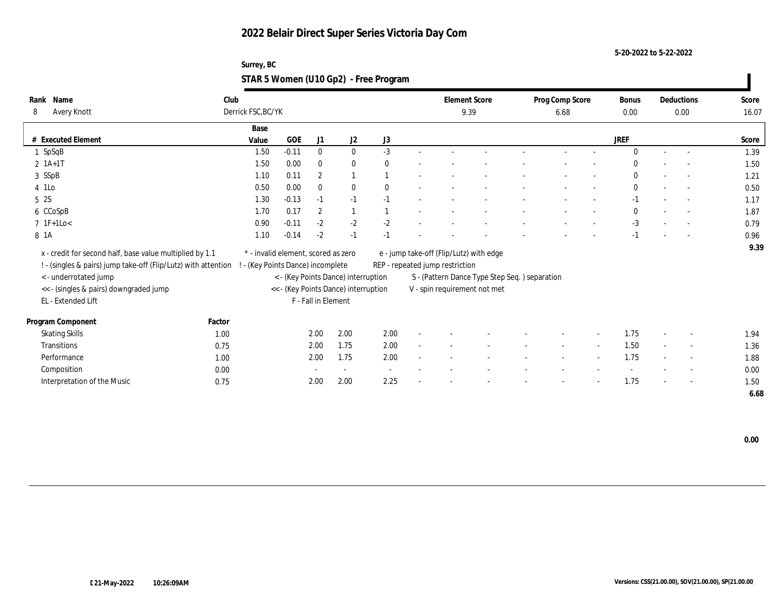**5-20-2022 to 5-22-2022**

| Surrey, BC                            |  |
|---------------------------------------|--|
| STAR 5 Women (U10 Gp2) - Free Program |  |

| Name<br>Rank                                                   | Club   |                                     |            |                     |                                      |              | <b>Element Score</b>                          |      | Prog Comp Score |                          | <b>Bonus</b> | Deductions               | Score |
|----------------------------------------------------------------|--------|-------------------------------------|------------|---------------------|--------------------------------------|--------------|-----------------------------------------------|------|-----------------|--------------------------|--------------|--------------------------|-------|
| Avery Knott<br>8                                               |        | Derrick FSC, BC/YK                  |            |                     |                                      |              |                                               | 9.39 | 6.68            |                          | 0.00         | 0.00                     | 16.07 |
|                                                                |        | Base                                |            |                     |                                      |              |                                               |      |                 |                          |              |                          |       |
| # Executed Element                                             |        | Value                               | <b>GOE</b> | J1                  | J <sub>2</sub>                       | J3           |                                               |      |                 |                          | <b>JREF</b>  |                          | Score |
| $1$ SpSqB                                                      |        | 1.50                                | $-0.11$    | $\bf{0}$            | $\bf{0}$                             | $-3$         |                                               |      |                 |                          | $\Omega$     | $\overline{\phantom{a}}$ | 1.39  |
| $2 \; 1A+1T$                                                   |        | 1.50                                | 0.00       | $\mathbf{0}$        | $\mathbf{0}$                         | $\mathbf{0}$ |                                               |      |                 |                          | $\Omega$     |                          | 1.50  |
| 3 SSpB                                                         |        | 1.10                                | 0.11       | $\boldsymbol{2}$    | $\overline{1}$                       |              |                                               |      |                 |                          | $\Omega$     | $\overline{\phantom{a}}$ | 1.21  |
| 4 1Lo                                                          |        | 0.50                                | 0.00       | $\mathbf{0}$        | $\mathbf{0}$                         | $\theta$     |                                               |      |                 |                          | $\mathbf{0}$ | $\overline{\phantom{a}}$ | 0.50  |
| 5 2S                                                           |        | 1.30                                | $-0.13$    | $-1$                | $-1$                                 | $-1$         |                                               |      |                 |                          | $-1$         | $\overline{\phantom{a}}$ | 1.17  |
| 6 CCoSpB                                                       |        | 1.70                                | 0.17       | $\overline{2}$      | 1                                    |              |                                               |      |                 |                          | $\mathbf{0}$ |                          | 1.87  |
| $7 \text{ IF+1Lo}$                                             |        | 0.90                                | $-0.11$    | $-2$                | $-2$                                 | $-2$         |                                               |      |                 |                          | $-3$         | $\overline{\phantom{a}}$ | 0.79  |
| 8 1A                                                           |        | 1.10                                | $-0.14$    | $-2$                | $-1$                                 | $-1$         |                                               |      |                 |                          | $-1$         | $\overline{\phantom{a}}$ | 0.96  |
| x - credit for second half, base value multiplied by 1.1       |        | * - invalid element, scored as zero |            |                     |                                      |              | e - jump take-off (Flip/Lutz) with edge       |      |                 |                          |              |                          | 9.39  |
| ! - (singles & pairs) jump take-off (Flip/Lutz) with attention |        | ! - (Key Points Dance) incomplete   |            |                     |                                      |              | REP - repeated jump restriction               |      |                 |                          |              |                          |       |
| <- underrotated jump                                           |        |                                     |            |                     | < - (Key Points Dance) interruption  |              | S - (Pattern Dance Type Step Seq.) separation |      |                 |                          |              |                          |       |
| << - (singles & pairs) downgraded jump                         |        |                                     |            |                     | << - (Key Points Dance) interruption |              | V - spin requirement not met                  |      |                 |                          |              |                          |       |
| EL - Extended Lift                                             |        |                                     |            | F - Fall in Element |                                      |              |                                               |      |                 |                          |              |                          |       |
| Program Component                                              | Factor |                                     |            |                     |                                      |              |                                               |      |                 |                          |              |                          |       |
| <b>Skating Skills</b>                                          | 1.00   |                                     |            | 2.00                | 2.00                                 | 2.00         |                                               |      |                 |                          | 1.75         | $\overline{\phantom{a}}$ | 1.94  |
| Transitions                                                    | 0.75   |                                     |            | 2.00                | 1.75                                 | 2.00         |                                               |      |                 | $\overline{\phantom{a}}$ | 1.50         | $\overline{\phantom{a}}$ | 1.36  |
| Performance                                                    | 1.00   |                                     |            | 2.00                | 1.75                                 | 2.00         |                                               |      |                 |                          | 1.75         | $\overline{\phantom{a}}$ | 1.88  |
| Composition                                                    | 0.00   |                                     |            |                     |                                      | $\sim$       |                                               |      |                 |                          |              | $\overline{\phantom{a}}$ | 0.00  |
| Interpretation of the Music                                    | 0.75   |                                     |            | 2.00                | 2.00                                 | 2.25         |                                               |      |                 |                          | 1.75         | $\overline{\phantom{a}}$ | 1.50  |
|                                                                |        |                                     |            |                     |                                      |              |                                               |      |                 |                          |              |                          | 6.68  |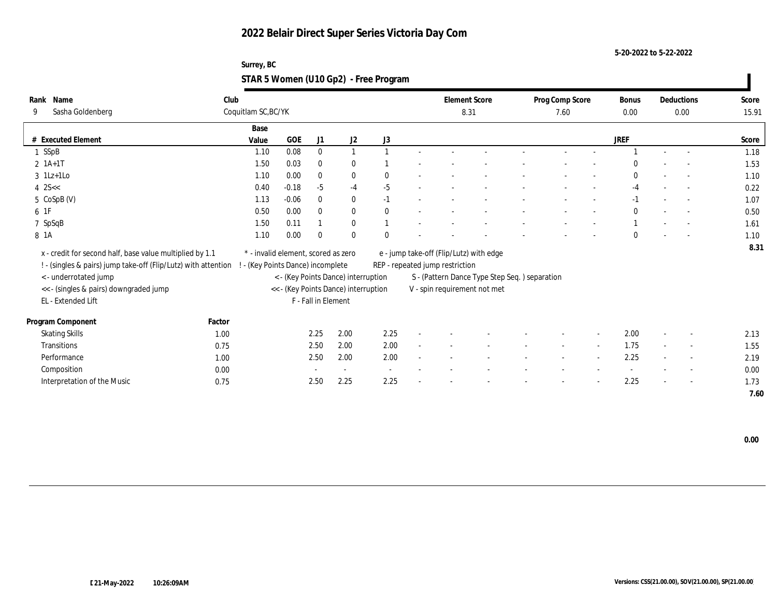**5-20-2022 to 5-22-2022**

### **Surrey, BC STAR 5 Women (U10 Gp2) - Free Program**

| Rank | Name                                                           | Club                            |                                     |                     |                                      |                                 |  | <b>Element Score</b> |                                               | Prog Comp Score |        | Bonus        |        | Deductions               | Score |
|------|----------------------------------------------------------------|---------------------------------|-------------------------------------|---------------------|--------------------------------------|---------------------------------|--|----------------------|-----------------------------------------------|-----------------|--------|--------------|--------|--------------------------|-------|
| 9    | Sasha Goldenberg                                               | Coquitlam SC, BC/YK             |                                     |                     |                                      |                                 |  | 8.31                 |                                               | 7.60            |        | 0.00         |        | 0.00                     | 15.91 |
|      |                                                                | Base                            |                                     |                     |                                      |                                 |  |                      |                                               |                 |        |              |        |                          |       |
|      | # Executed Element                                             | Value                           | <b>GOE</b>                          | J1                  | $\mathrm{J}2$                        | J3                              |  |                      |                                               |                 |        | <b>JREF</b>  |        |                          | Score |
|      | 1 SSpB                                                         | 1.10                            | 0.08                                | $\bf{0}$            | $\mathbf{1}$                         |                                 |  |                      |                                               |                 |        |              |        |                          | 1.18  |
|      | $2 1A+1T$                                                      | 1.50                            | 0.03                                | $\mathbf{0}$        | $\bf{0}$                             |                                 |  |                      |                                               |                 |        | $\Omega$     |        |                          | 1.53  |
|      | $3$ 1Lz+1Lo                                                    | 1.10                            | 0.00                                | $\bf{0}$            | $\bf{0}$                             | $\mathbf{0}$                    |  |                      |                                               |                 |        | $\bf{0}$     |        |                          | 1.10  |
|      | $4$ 2S <<                                                      | 0.40                            | $-0.18$                             | $-5$                | $-4$                                 | $-5$                            |  |                      |                                               |                 |        | $-4$         |        | $\overline{a}$           | 0.22  |
|      | 5 CoSpB (V)                                                    | 1.13                            | $-0.06$                             | $\bf{0}$            | $\bf{0}$                             | $-1$                            |  |                      |                                               |                 |        | $-1$         |        | $\sim$                   | 1.07  |
|      | 6 1F                                                           | 0.50                            | 0.00                                | $\mathbf{0}$        | $\mathbf{0}$                         | $\theta$                        |  |                      |                                               |                 |        | $\mathbf{0}$ |        | $\sim$                   | 0.50  |
|      | 7 SpSqB                                                        | 1.50                            | 0.11                                |                     | $\bf{0}$                             |                                 |  |                      |                                               |                 |        |              |        |                          | 1.61  |
|      | 8 1A                                                           | 1.10                            | 0.00                                | $\Omega$            | $\mathbf{0}$                         | $\Omega$                        |  |                      |                                               |                 |        | $\mathbf{0}$ |        |                          | 1.10  |
|      | x - credit for second half, base value multiplied by 1.1       |                                 | * - invalid element, scored as zero |                     |                                      |                                 |  |                      | e - jump take-off (Flip/Lutz) with edge       |                 |        |              |        |                          | 8.31  |
|      | ! - (singles & pairs) jump take-off (Flip/Lutz) with attention | - (Key Points Dance) incomplete |                                     |                     |                                      | REP - repeated jump restriction |  |                      |                                               |                 |        |              |        |                          |       |
|      | <- underrotated jump                                           |                                 |                                     |                     | < - (Key Points Dance) interruption  |                                 |  |                      | S - (Pattern Dance Type Step Seq.) separation |                 |        |              |        |                          |       |
|      | << - (singles & pairs) downgraded jump                         |                                 |                                     |                     | << - (Key Points Dance) interruption |                                 |  |                      | V - spin requirement not met                  |                 |        |              |        |                          |       |
|      | EL - Extended Lift                                             |                                 |                                     | F - Fall in Element |                                      |                                 |  |                      |                                               |                 |        |              |        |                          |       |
|      |                                                                |                                 |                                     |                     |                                      |                                 |  |                      |                                               |                 |        |              |        |                          |       |
|      | Program Component                                              | Factor                          |                                     |                     |                                      |                                 |  |                      |                                               |                 |        |              |        |                          |       |
|      | <b>Skating Skills</b>                                          | 1.00                            |                                     | 2.25                | 2.00                                 | 2.25                            |  |                      |                                               |                 |        | 2.00         |        | $\overline{\phantom{a}}$ | 2.13  |
|      | Transitions                                                    | 0.75                            |                                     | 2.50                | 2.00                                 | 2.00                            |  |                      |                                               | $\sim$          | $\sim$ | 1.75         | $\sim$ | $\sim$                   | 1.55  |
|      | Performance                                                    | 1.00                            |                                     | 2.50                | 2.00                                 | 2.00                            |  |                      |                                               |                 |        | 2.25         |        | $\overline{a}$           | 2.19  |
|      | Composition                                                    | 0.00                            |                                     |                     | $\sim$                               | $\sim$                          |  |                      |                                               |                 |        |              |        | $\overline{\phantom{a}}$ | 0.00  |
|      | Interpretation of the Music                                    | 0.75                            |                                     | 2.50                | 2.25                                 | 2.25                            |  |                      |                                               |                 |        | 2.25         |        | $\sim$                   | 1.73  |
|      |                                                                |                                 |                                     |                     |                                      |                                 |  |                      |                                               |                 |        |              |        |                          | 7.60  |

 **0.00**